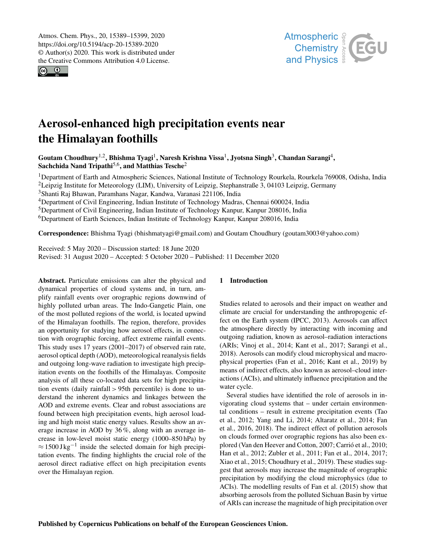$\circledcirc$   $\circledcirc$ 



# Aerosol-enhanced high precipitation events near the Himalayan foothills

Goutam Choudhury<sup>1,2</sup>, Bhishma Tyagi<sup>1</sup>, Naresh Krishna Vissa<sup>1</sup>, Jyotsna Singh<sup>3</sup>, Chandan Sarangi<sup>4</sup>, Sachchida Nand Tripathi<sup>5,6</sup>, and Matthias Tesche<sup>2</sup>

<sup>1</sup>Department of Earth and Atmospheric Sciences, National Institute of Technology Rourkela, Rourkela 769008, Odisha, India <sup>2</sup>Leipzig Institute for Meteorology (LIM), University of Leipzig, Stephanstraße 3, 04103 Leipzig, Germany

<sup>3</sup>Shanti Raj Bhawan, Paramhans Nagar, Kandwa, Varanasi 221106, India

<sup>4</sup>Department of Civil Engineering, Indian Institute of Technology Madras, Chennai 600024, India

<sup>5</sup>Department of Civil Engineering, Indian Institute of Technology Kanpur, Kanpur 208016, India

<sup>6</sup>Department of Earth Sciences, Indian Institute of Technology Kanpur, Kanpur 208016, India

Correspondence: Bhishma Tyagi (bhishmatyagi@gmail.com) and Goutam Choudhury (goutam3003@yahoo.com)

Received: 5 May 2020 – Discussion started: 18 June 2020

Revised: 31 August 2020 – Accepted: 5 October 2020 – Published: 11 December 2020

Abstract. Particulate emissions can alter the physical and dynamical properties of cloud systems and, in turn, amplify rainfall events over orographic regions downwind of highly polluted urban areas. The Indo-Gangetic Plain, one of the most polluted regions of the world, is located upwind of the Himalayan foothills. The region, therefore, provides an opportunity for studying how aerosol effects, in connection with orographic forcing, affect extreme rainfall events. This study uses 17 years (2001–2017) of observed rain rate, aerosol optical depth (AOD), meteorological reanalysis fields and outgoing long-wave radiation to investigate high precipitation events on the foothills of the Himalayas. Composite analysis of all these co-located data sets for high precipitation events (daily rainfall > 95th percentile) is done to understand the inherent dynamics and linkages between the AOD and extreme events. Clear and robust associations are found between high precipitation events, high aerosol loading and high moist static energy values. Results show an average increase in AOD by 36 %, along with an average increase in low-level moist static energy (1000–850 hPa) by  $\approx 1500 \text{ J kg}^{-1}$  inside the selected domain for high precipitation events. The finding highlights the crucial role of the aerosol direct radiative effect on high precipitation events over the Himalayan region.

# 1 Introduction

Studies related to aerosols and their impact on weather and climate are crucial for understanding the anthropogenic effect on the Earth system (IPCC, 2013). Aerosols can affect the atmosphere directly by interacting with incoming and outgoing radiation, known as aerosol–radiation interactions (ARIs; Vinoj et al., 2014; Kant et al., 2017; Sarangi et al., 2018). Aerosols can modify cloud microphysical and macrophysical properties (Fan et al., 2016; Kant et al., 2019) by means of indirect effects, also known as aerosol–cloud interactions (ACIs), and ultimately influence precipitation and the water cycle.

Several studies have identified the role of aerosols in invigorating cloud systems that – under certain environmental conditions – result in extreme precipitation events (Tao et al., 2012; Yang and Li, 2014; Altaratz et al., 2014; Fan et al., 2016, 2018). The indirect effect of pollution aerosols on clouds formed over orographic regions has also been explored (Van den Heever and Cotton, 2007; Carrió et al., 2010; Han et al., 2012; Zubler et al., 2011; Fan et al., 2014, 2017; Xiao et al., 2015; Choudhury et al., 2019). These studies suggest that aerosols may increase the magnitude of orographic precipitation by modifying the cloud microphysics (due to ACIs). The modelling results of Fan et al. (2015) show that absorbing aerosols from the polluted Sichuan Basin by virtue of ARIs can increase the magnitude of high precipitation over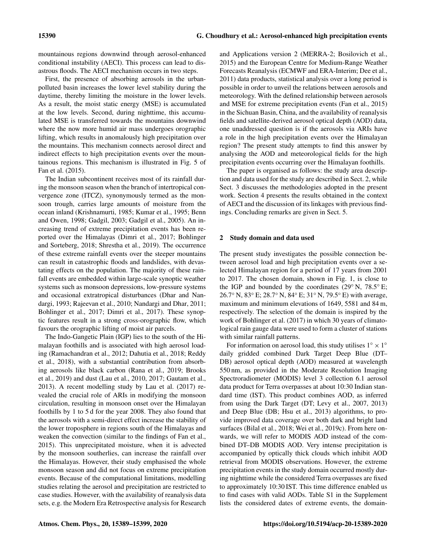mountainous regions downwind through aerosol-enhanced conditional instability (AECI). This process can lead to disastrous floods. The AECI mechanism occurs in two steps.

First, the presence of absorbing aerosols in the urbanpolluted basin increases the lower level stability during the daytime, thereby limiting the moisture in the lower levels. As a result, the moist static energy (MSE) is accumulated at the low levels. Second, during nighttime, this accumulated MSE is transferred towards the mountains downwind where the now more humid air mass undergoes orographic lifting, which results in anomalously high precipitation over the mountains. This mechanism connects aerosol direct and indirect effects to high precipitation events over the mountainous regions. This mechanism is illustrated in Fig. 5 of Fan et al. (2015).

The Indian subcontinent receives most of its rainfall during the monsoon season when the branch of intertropical convergence zone (ITCZ), synonymously termed as the monsoon trough, carries large amounts of moisture from the ocean inland (Krishnamurti, 1985; Kumar et al., 1995; Benn and Owen, 1998; Gadgil, 2003; Gadgil et al., 2005). An increasing trend of extreme precipitation events has been reported over the Himalayas (Dimri et al., 2017; Bohlinger and Sorteberg, 2018; Shrestha et al., 2019). The occurrence of these extreme rainfall events over the steeper mountains can result in catastrophic floods and landslides, with devastating effects on the population. The majority of these rainfall events are embedded within large-scale synoptic weather systems such as monsoon depressions, low-pressure systems and occasional extratropical disturbances (Dhar and Nandargi, 1993; Rajeevan et al., 2010; Nandargi and Dhar, 2011; Bohlinger et al., 2017; Dimri et al., 2017). These synoptic features result in a strong cross-orographic flow, which favours the orographic lifting of moist air parcels.

The Indo-Gangetic Plain (IGP) lies to the south of the Himalayan foothills and is associated with high aerosol loading (Ramachandran et al., 2012; Dahutia et al., 2018; Reddy et al., 2018), with a substantial contribution from absorbing aerosols like black carbon (Rana et al., 2019; Brooks et al., 2019) and dust (Lau et al., 2010, 2017; Gautam et al., 2013). A recent modelling study by Lau et al. (2017) revealed the crucial role of ARIs in modifying the monsoon circulation, resulting in monsoon onset over the Himalayan foothills by 1 to 5 d for the year 2008. They also found that the aerosols with a semi-direct effect increase the stability of the lower troposphere in regions south of the Himalayas and weaken the convection (similar to the findings of Fan et al., 2015). This unprecipitated moisture, when it is advected by the monsoon southerlies, can increase the rainfall over the Himalayas. However, their study emphasised the whole monsoon season and did not focus on extreme precipitation events. Because of the computational limitations, modelling studies relating the aerosol and precipitation are restricted to case studies. However, with the availability of reanalysis data sets, e.g. the Modern Era Retrospective analysis for Research

and Applications version 2 (MERRA-2; Bosilovich et al., 2015) and the European Centre for Medium-Range Weather Forecasts Reanalysis (ECMWF and ERA-Interim; Dee et al., 2011) data products, statistical analysis over a long period is possible in order to unveil the relations between aerosols and meteorology. With the defined relationship between aerosols and MSE for extreme precipitation events (Fan et al., 2015) in the Sichuan Basin, China, and the availability of reanalysis fields and satellite-derived aerosol optical depth (AOD) data, one unaddressed question is if the aerosols via ARIs have a role in the high precipitation events over the Himalayan region? The present study attempts to find this answer by analysing the AOD and meteorological fields for the high precipitation events occurring over the Himalayan foothills.

The paper is organised as follows: the study area description and data used for the study are described in Sect. 2, while Sect. 3 discusses the methodologies adopted in the present work. Section 4 presents the results obtained in the context of AECI and the discussion of its linkages with previous findings. Concluding remarks are given in Sect. 5.

#### 2 Study domain and data used

The present study investigates the possible connection between aerosol load and high precipitation events over a selected Himalayan region for a period of 17 years from 2001 to 2017. The chosen domain, shown in Fig. 1, is close to the IGP and bounded by the coordinates (29 $\degree$  N, 78.5 $\degree$  E; 26.7◦ N, 83◦ E; 28.7◦ N, 84◦ E; 31◦ N, 79.5◦ E) with average, maximum and minimum elevations of 1649, 5581 and 84 m, respectively. The selection of the domain is inspired by the work of Bohlinger et al. (2017) in which 30 years of climatological rain gauge data were used to form a cluster of stations with similar rainfall patterns.

For information on aerosol load, this study utilises  $1^\circ \times 1^\circ$ daily gridded combined Dark Target Deep Blue (DT– DB) aerosol optical depth (AOD) measured at wavelength 550 nm, as provided in the Moderate Resolution Imaging Spectroradiometer (MODIS) level 3 collection 6.1 aerosol data product for Terra overpasses at about 10:30 Indian standard time (IST). This product combines AOD, as inferred from using the Dark Target (DT; Levy et al., 2007, 2013) and Deep Blue (DB; Hsu et al., 2013) algorithms, to provide improved data coverage over both dark and bright land surfaces (Bilal et al., 2018; Wei et al., 2019c). From here onwards, we will refer to MODIS AOD instead of the combined DT–DB MODIS AOD. Very intense precipitation is accompanied by optically thick clouds which inhibit AOD retrieval from MODIS observations. However, the extreme precipitation events in the study domain occurred mostly during nighttime while the considered Terra overpasses are fixed to approximately 10:30 IST. This time difference enabled us to find cases with valid AODs. Table S1 in the Supplement lists the considered dates of extreme events, the domain-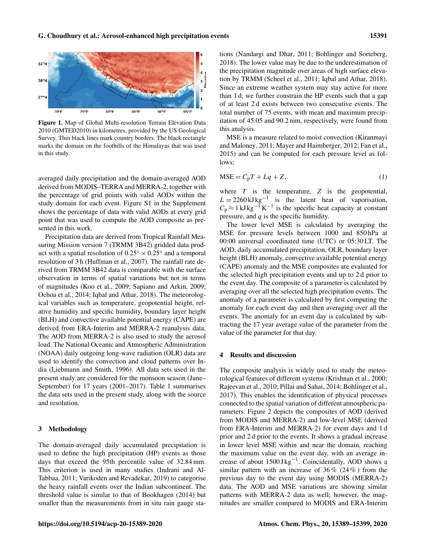

Figure 1. Map of Global Multi-resolution Terrain Elevation Data 2010 (GMTED2010) in kilometres, provided by the US Geological Survey. Thin black lines mark country borders. The black rectangle marks the domain on the foothills of the Himalayas that was used in this study.

averaged daily precipitation and the domain-averaged AOD derived from MODIS–TERRA and MERRA-2, together with the percentage of grid points with valid AODs within the study domain for each event. Figure S1 in the Supplement shows the percentage of data with valid AODs at every grid point that was used to compute the AOD composite as presented in this work.

Precipitation data are derived from Tropical Rainfall Measuring Mission version 7 (TRMM 3B42) gridded data product with a spatial resolution of  $0.25^{\circ} \times 0.25^{\circ}$  and a temporal resolution of 3 h (Huffman et al., 2007). The rainfall rate derived from TRMM 3B42 data is comparable with the surface observation in terms of spatial variations but not in terms of magnitudes (Koo et al., 2009; Sapiano and Arkin, 2009; Ochoa et al., 2014; Iqbal and Athar, 2018). The meteorological variables such as temperature, geopotential height, relative humidity and specific humidity, boundary layer height (BLH) and convective available potential energy (CAPE) are derived from ERA-Interim and MERRA-2 reanalysis data. The AOD from MERRA-2 is also used to study the aerosol load. The National Oceanic and Atmospheric Administration (NOAA) daily outgoing long-wave radiation (OLR) data are used to identify the convection and cloud patterns over India (Liebmann and Smith, 1996). All data sets used in the present study are considered for the monsoon season (June– September) for 17 years (2001–2017). Table 1 summarises the data sets used in the present study, along with the source and resolution.

#### 3 Methodology

The domain-averaged daily accumulated precipitation is used to define the high precipitation (HP) events as those days that exceed the 95th percentile value of 32.84 mm. This criterion is used in many studies (Indrani and Al-Tabbaa, 2011; Varikoden and Revadekar, 2019) to categorise the heavy rainfall events over the Indian subcontinent. The threshold value is similar to that of Bookhagen (2014) but smaller than the measurements from in situ rain gauge stations (Nandargi and Dhar, 2011; Bohlinger and Sorteberg, 2018). The lower value may be due to the underestimation of the precipitation magnitude over areas of high surface elevation by TRMM (Scheel et al., 2011; Iqbal and Athar, 2018). Since an extreme weather system may stay active for more than 1 d, we further constrain the HP events such that a gap of at least 2 d exists between two consecutive events. The total number of 75 events, with mean and maximum precipitation of 45.05 and 90.2 mm, respectively, were found from this analysis.

MSE is a measure related to moist convection (Kiranmayi and Maloney, 2011; Mayer and Haimberger, 2012; Fan et al., 2015) and can be computed for each pressure level as follows:

$$
MSE = CpT + Lq + Z,
$$
 (1)

where  $T$  is the temperature,  $Z$  is the geopotential,  $L = 2260 \text{ kJ kg}^{-1}$  is the latent heat of vaporisation,  $C_p \approx 1 \text{ kJ kg}^{-1} \text{ K}^{-1}$  is the specific heat capacity at constant pressure, and  $q$  is the specific humidity.

The lower level MSE is calculated by averaging the MSE for pressure levels between 1000 and 850 hPa at 00:00 universal coordinated time (UTC) or 05:30 LT. The AOD, daily accumulated precipitation, OLR, boundary layer height (BLH) anomaly, convective available potential energy (CAPE) anomaly and the MSE composites are evaluated for the selected high precipitation events and up to 2 d prior to the event day. The composite of a parameter is calculated by averaging over all the selected high precipitation events. The anomaly of a parameter is calculated by first computing the anomaly for each event day and then averaging over all the events. The anomaly for an event day is calculated by subtracting the 17 year average value of the parameter from the value of the parameter for that day.

## 4 Results and discussion

The composite analysis is widely used to study the meteorological features of different systems (Krishnan et al., 2000; Rajeevan et al., 2010; Pillai and Sahai, 2014; Bohlinger et al., 2017). This enables the identification of physical processes connected to the spatial variation of different atmospheric parameters. Figure 2 depicts the composites of AOD (derived from MODIS and MERRA-2) and low-level MSE (derived from ERA-Interim and MERRA-2) for event days and 1 d prior and 2 d prior to the events. It shows a gradual increase in lower level MSE within and near the domain, reaching the maximum value on the event day, with an average increase of about 1500 J kg<sup>-1</sup>. Coincidentally, AOD shows a similar pattern with an increase of  $36\%$  (24%) from the previous day to the event day using MODIS (MERRA-2) data. The AOD and MSE variations are showing similar patterns with MERRA-2 data as well; however, the magnitudes are smaller compared to MODIS and ERA-Interim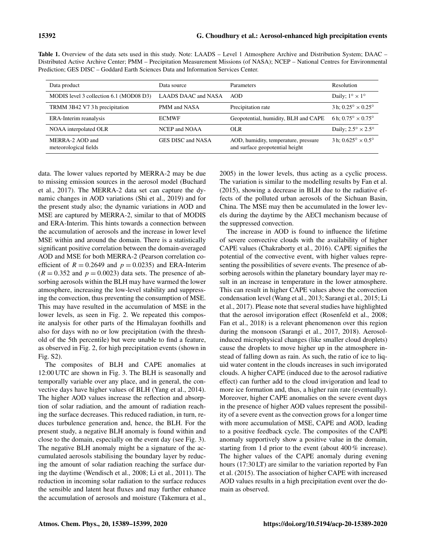| Data product                             | Data source         | Parameters                                                              | <b>Resolution</b>                       |
|------------------------------------------|---------------------|-------------------------------------------------------------------------|-----------------------------------------|
| MODIS level 3 collection 6.1 (MOD08 D3)  | LAADS DAAC and NASA | AOD.                                                                    | Daily; $1^{\circ} \times 1^{\circ}$     |
| TRMM 3B42 V7 3 h precipitation           | PMM and NASA        | Precipitation rate                                                      | 3 h: $0.25^{\circ} \times 0.25^{\circ}$ |
| ERA-Interim reanalysis                   | <b>ECMWF</b>        | Geopotential, humidity, BLH and CAPE                                    | 6 h; $0.75^{\circ} \times 0.75^{\circ}$ |
| NOAA interpolated OLR                    | NCEP and NOAA       | OL R                                                                    | Daily; $2.5^{\circ} \times 2.5^{\circ}$ |
| MERRA-2 AOD and<br>meteorological fields | GES DISC and NASA   | AOD, humidity, temperature, pressure<br>and surface geopotential height | 3 h; $0.625^{\circ} \times 0.5^{\circ}$ |

Table 1. Overview of the data sets used in this study. Note: LAADS – Level 1 Atmosphere Archive and Distribution System; DAAC – Distributed Active Archive Center; PMM – Precipitation Measurement Missions (of NASA); NCEP – National Centres for Environmental Prediction; GES DISC – Goddard Earth Sciences Data and Information Services Center.

data. The lower values reported by MERRA-2 may be due to missing emission sources in the aerosol model (Buchard et al., 2017). The MERRA-2 data set can capture the dynamic changes in AOD variations (Shi et al., 2019) and for the present study also; the dynamic variations in AOD and MSE are captured by MERRA-2, similar to that of MODIS and ERA-Interim. This hints towards a connection between the accumulation of aerosols and the increase in lower level MSE within and around the domain. There is a statistically significant positive correlation between the domain-averaged AOD and MSE for both MERRA-2 (Pearson correlation coefficient of  $R = 0.2649$  and  $p = 0.0235$ ) and ERA-Interim  $(R = 0.352$  and  $p = 0.0023$ ) data sets. The presence of absorbing aerosols within the BLH may have warmed the lower atmosphere, increasing the low-level stability and suppressing the convection, thus preventing the consumption of MSE. This may have resulted in the accumulation of MSE in the lower levels, as seen in Fig. 2. We repeated this composite analysis for other parts of the Himalayan foothills and also for days with no or low precipitation (with the threshold of the 5th percentile) but were unable to find a feature, as observed in Fig. 2, for high precipitation events (shown in Fig. S2).

The composites of BLH and CAPE anomalies at 12:00 UTC are shown in Fig. 3. The BLH is seasonally and temporally variable over any place, and in general, the convective days have higher values of BLH (Yang et al., 2014). The higher AOD values increase the reflection and absorption of solar radiation, and the amount of radiation reaching the surface decreases. This reduced radiation, in turn, reduces turbulence generation and, hence, the BLH. For the present study, a negative BLH anomaly is found within and close to the domain, especially on the event day (see Fig. 3). The negative BLH anomaly might be a signature of the accumulated aerosols stabilising the boundary layer by reducing the amount of solar radiation reaching the surface during the daytime (Wendisch et al., 2008; Li et al., 2011). The reduction in incoming solar radiation to the surface reduces the sensible and latent heat fluxes and may further enhance the accumulation of aerosols and moisture (Takemura et al., 2005) in the lower levels, thus acting as a cyclic process. The variation is similar to the modelling results by Fan et al. (2015), showing a decrease in BLH due to the radiative effects of the polluted urban aerosols of the Sichuan Basin, China. The MSE may then be accumulated in the lower levels during the daytime by the AECI mechanism because of the suppressed convection.

The increase in AOD is found to influence the lifetime of severe convective clouds with the availability of higher CAPE values (Chakraborty et al., 2016). CAPE signifies the potential of the convective event, with higher values representing the possibilities of severe events. The presence of absorbing aerosols within the planetary boundary layer may result in an increase in temperature in the lower atmosphere. This can result in higher CAPE values above the convection condensation level (Wang et al., 2013; Sarangi et al., 2015; Li et al., 2017). Please note that several studies have highlighted that the aerosol invigoration effect (Rosenfeld et al., 2008; Fan et al., 2018) is a relevant phenomenon over this region during the monsoon (Sarangi et al., 2017, 2018). Aerosolinduced microphysical changes (like smaller cloud droplets) cause the droplets to move higher up in the atmosphere instead of falling down as rain. As such, the ratio of ice to liquid water content in the clouds increases in such invigorated clouds. A higher CAPE (induced due to the aerosol radiative effect) can further add to the cloud invigoration and lead to more ice formation and, thus, a higher rain rate (eventually). Moreover, higher CAPE anomalies on the severe event days in the presence of higher AOD values represent the possibility of a severe event as the convection grows for a longer time with more accumulation of MSE, CAPE and AOD, leading to a positive feedback cycle. The composites of the CAPE anomaly supportively show a positive value in the domain, starting from 1 d prior to the event (about 400 % increase). The higher values of the CAPE anomaly during evening hours (17:30 LT) are similar to the variation reported by Fan et al. (2015). The association of higher CAPE with increased AOD values results in a high precipitation event over the domain as observed.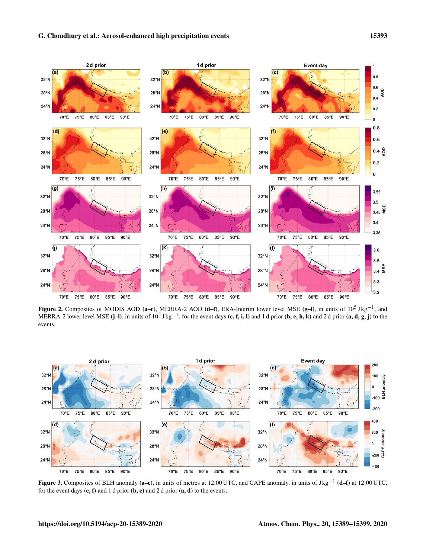

Figure 2. Composites of MODIS AOD (a–c), MERRA-2 AOD (d–f), ERA-Interim lower level MSE (g–i), in units of  $10^5$  J kg<sup>-1</sup>, and MERRA-2 lower level MSE (j–l), in units of  $10^5$  J kg<sup>-1</sup>, for the event days (c, f, i, l) and 1 d prior (b, e, h, k) and 2 d prior (a, d, g, j) to the events.



Figure 3. Composites of BLH anomaly (a–c), in units of metres at 12:00 UTC, and CAPE anomaly, in units of J kg<sup>-1</sup> (d–f) at 12:00 UTC, for the event days  $(c, f)$  and 1 d prior  $(b, e)$  and 2 d prior  $(a, d)$  to the events.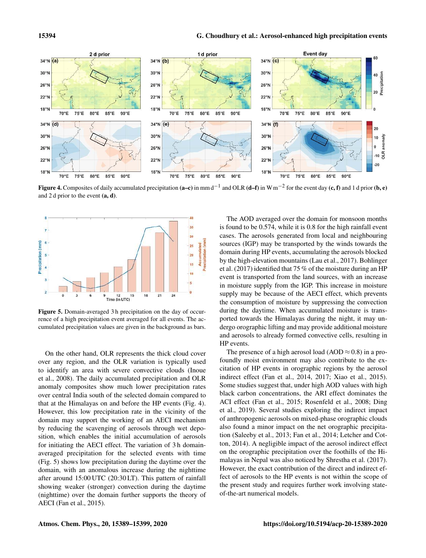

Figure 4. Composites of daily accumulated precipitation (a–c) in mm d<sup>-1</sup> and OLR (d–f) in W m<sup>-2</sup> for the event day (c, f) and 1 d prior (b, e) and 2 d prior to the event  $(a, d)$ .



Figure 5. Domain-averaged 3 h precipitation on the day of occurrence of a high precipitation event averaged for all events. The accumulated precipitation values are given in the background as bars.

On the other hand, OLR represents the thick cloud cover over any region, and the OLR variation is typically used to identify an area with severe convective clouds (Inoue et al., 2008). The daily accumulated precipitation and OLR anomaly composites show much lower precipitation rates over central India south of the selected domain compared to that at the Himalayas on and before the HP events (Fig. 4). However, this low precipitation rate in the vicinity of the domain may support the working of an AECI mechanism by reducing the scavenging of aerosols through wet deposition, which enables the initial accumulation of aerosols for initiating the AECI effect. The variation of 3 h domainaveraged precipitation for the selected events with time (Fig. 5) shows low precipitation during the daytime over the domain, with an anomalous increase during the nighttime after around 15:00 UTC (20:30 LT). This pattern of rainfall showing weaker (stronger) convection during the daytime (nighttime) over the domain further supports the theory of AECI (Fan et al., 2015).

The AOD averaged over the domain for monsoon months is found to be 0.574, while it is 0.8 for the high rainfall event cases. The aerosols generated from local and neighbouring sources (IGP) may be transported by the winds towards the domain during HP events, accumulating the aerosols blocked by the high-elevation mountains (Lau et al., 2017). Bohlinger et al. (2017) identified that 75 % of the moisture during an HP event is transported from the land sources, with an increase in moisture supply from the IGP. This increase in moisture supply may be because of the AECI effect, which prevents the consumption of moisture by suppressing the convection during the daytime. When accumulated moisture is transported towards the Himalayas during the night, it may undergo orographic lifting and may provide additional moisture and aerosols to already formed convective cells, resulting in HP events.

The presence of a high aerosol load (AOD  $\approx$  0.8) in a profoundly moist environment may also contribute to the excitation of HP events in orographic regions by the aerosol indirect effect (Fan et al., 2014, 2017; Xiao et al., 2015). Some studies suggest that, under high AOD values with high black carbon concentrations, the ARI effect dominates the ACI effect (Fan et al., 2015; Rosenfeld et al., 2008; Ding et al., 2019). Several studies exploring the indirect impact of anthropogenic aerosols on mixed-phase orographic clouds also found a minor impact on the net orographic precipitation (Saleeby et al., 2013; Fan et al., 2014; Letcher and Cotton, 2014). A negligible impact of the aerosol indirect effect on the orographic precipitation over the foothills of the Himalayas in Nepal was also noticed by Shrestha et al. (2017). However, the exact contribution of the direct and indirect effect of aerosols to the HP events is not within the scope of the present study and requires further work involving stateof-the-art numerical models.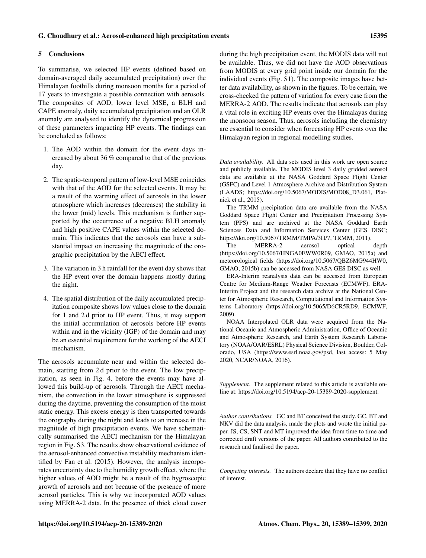## G. Choudhury et al.: Aerosol-enhanced high precipitation events 15395

#### 5 Conclusions

To summarise, we selected HP events (defined based on domain-averaged daily accumulated precipitation) over the Himalayan foothills during monsoon months for a period of 17 years to investigate a possible connection with aerosols. The composites of AOD, lower level MSE, a BLH and CAPE anomaly, daily accumulated precipitation and an OLR anomaly are analysed to identify the dynamical progression of these parameters impacting HP events. The findings can be concluded as follows:

- 1. The AOD within the domain for the event days increased by about 36 % compared to that of the previous day.
- 2. The spatio-temporal pattern of low-level MSE coincides with that of the AOD for the selected events. It may be a result of the warming effect of aerosols in the lower atmosphere which increases (decreases) the stability in the lower (mid) levels. This mechanism is further supported by the occurrence of a negative BLH anomaly and high positive CAPE values within the selected domain. This indicates that the aerosols can have a substantial impact on increasing the magnitude of the orographic precipitation by the AECI effect.
- 3. The variation in 3 h rainfall for the event day shows that the HP event over the domain happens mostly during the night.
- 4. The spatial distribution of the daily accumulated precipitation composite shows low values close to the domain for 1 and 2 d prior to HP event. Thus, it may support the initial accumulation of aerosols before HP events within and in the vicinity (IGP) of the domain and may be an essential requirement for the working of the AECI mechanism.

The aerosols accumulate near and within the selected domain, starting from 2 d prior to the event. The low precipitation, as seen in Fig. 4, before the events may have allowed this build-up of aerosols. Through the AECI mechanism, the convection in the lower atmosphere is suppressed during the daytime, preventing the consumption of the moist static energy. This excess energy is then transported towards the orography during the night and leads to an increase in the magnitude of high precipitation events. We have schematically summarised the AECI mechanism for the Himalayan region in Fig. S3. The results show observational evidence of the aerosol-enhanced convective instability mechanism identified by Fan et al. (2015). However, the analysis incorporates uncertainty due to the humidity growth effect, where the higher values of AOD might be a result of the hygroscopic growth of aerosols and not because of the presence of more aerosol particles. This is why we incorporated AOD values using MERRA-2 data. In the presence of thick cloud cover

during the high precipitation event, the MODIS data will not be available. Thus, we did not have the AOD observations from MODIS at every grid point inside our domain for the individual events (Fig. S1). The composite images have better data availability, as shown in the figures. To be certain, we cross-checked the pattern of variation for every case from the MERRA-2 AOD. The results indicate that aerosols can play a vital role in exciting HP events over the Himalayas during the monsoon season. Thus, aerosols including the chemistry are essential to consider when forecasting HP events over the Himalayan region in regional modelling studies.

*Data availability.* All data sets used in this work are open source and publicly available. The MODIS level 3 daily gridded aerosol data are available at the NASA Goddard Space Flight Center (GSFC) and Level 1 Atmosphere Archive and Distribution System (LAADS; https://doi.org/10.5067/MODIS/MOD08\_D3.061, Platnick et al., 2015).

The TRMM precipitation data are available from the NASA Goddard Space Flight Center and Precipitation Processing System (PPS) and are archived at the NASA Goddard Earth Sciences Data and Information Services Center (GES DISC; https://doi.org/10.5067/TRMM/TMPA/3H/7, TRMM, 2011).

The MERRA-2 aerosol optical depth (https://doi.org/10.5067/HNGA0EWW0R09, GMAO, 2015a) and meteorological fields (https://doi.org/10.5067/QBZ6MG944HW0, GMAO, 2015b) can be accessed from NASA GES DISC as well.

ERA-Interim reanalysis data can be accessed from European Centre for Medium-Range Weather Forecasts (ECMWF), ERA-Interim Project and the research data archive at the National Center for Atmospheric Research, Computational and Information Systems Laboratory (https://doi.org/10.5065/D6CR5RD9, ECMWF, 2009).

NOAA Interpolated OLR data were acquired from the National Oceanic and Atmospheric Administration, Office of Oceanic and Atmospheric Research, and Earth System Research Laboratory (NOAA/OAR/ESRL) Physical Science Division, Boulder, Colorado, USA (https://www.esrl.noaa.gov/psd, last access: 5 May 2020, NCAR/NOAA, 2016).

*Supplement.* The supplement related to this article is available online at: https://doi.org/10.5194/acp-20-15389-2020-supplement.

*Author contributions.* GC and BT conceived the study. GC, BT and NKV did the data analysis, made the plots and wrote the initial paper. JS, CS, SNT and MT improved the idea from time to time and corrected draft versions of the paper. All authors contributed to the research and finalised the paper.

*Competing interests.* The authors declare that they have no conflict of interest.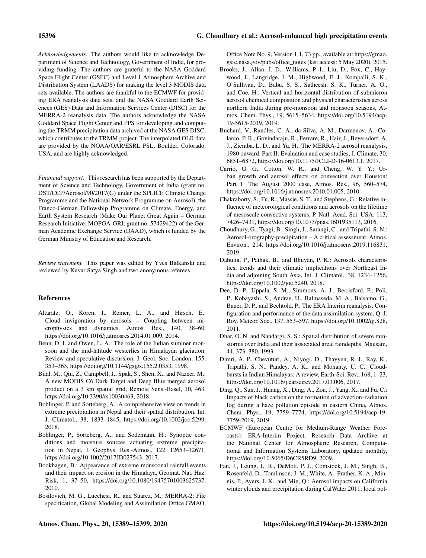*Acknowledgements.* The authors would like to acknowledge Department of Science and Technology, Government of India, for providing funding. The authors are grateful to the NASA Goddard Space Flight Center (GSFC) and Level 1 Atmosphere Archive and Distribution System (LAADS) for making the level 3 MODIS data sets available. The authors are thankful to the ECMWF for providing ERA reanalysis data sets, and the NASA Goddard Earth Sciences (GES) Data and Information Services Center (DISC) for the MERRA-2 reanalysis data. The authors acknowledge the NASA Goddard Space Flight Center and PPS for developing and computing the TRMM precipitation data archived at the NASA GES DISC, which contributes to the TRMM project. The interpolated OLR data are provided by the NOAA/OAR/ESRL PSL, Boulder, Colorado, USA, and are highly acknowledged.

*Financial support.* This research has been supported by the Department of Science and Technology, Government of India (grant no. DST/CCP/Aerosol/90/2017(G) under the SPLICE Climate Change Programme and the National Network Programme on Aerosol), the Franco-German Fellowship Programme on Climate, Energy, and Earth System Research (Make Our Planet Great Again – German Research Initiative; MOPGA-GRI; grant no. 57429422) of the German Academic Exchange Service (DAAD), which is funded by the German Ministry of Education and Research.

*Review statement.* This paper was edited by Yves Balkanski and reviewed by Kuvar Satya Singh and two anonymous referees.

# References

- Altaratz, O., Koren, I., Remer, L. A., and Hirsch, E.: Cloud invigoration by aerosols – Coupling between microphysics and dynamics, Atmos. Res., 140, 38–60, https://doi.org/10.1016/j.atmosres.2014.01.009, 2014.
- Benn, D. I. and Owen, L. A.: The role of the Indian summer monsoon and the mid-latitude westerlies in Himalayan glaciation: Review and speculative discussion, J. Geol. Soc. London, 155, 353–363, https://doi.org/10.1144/gsjgs.155.2.0353, 1998.
- Bilal, M., Qiu, Z., Campbell, J., Spak, S., Shen, X., and Nazeer, M.: A new MODIS C6 Dark Target and Deep Blue merged aerosol product on a 3 km spatial grid, Remote Sens.-Basel, 10, 463, https://doi.org/10.3390/rs10030463, 2018.
- Bohlinger, P. and Sorteberg, A.: A comprehensive view on trends in extreme precipitation in Nepal and their spatial distribution, Int. J. Climatol., 38, 1833–1845, https://doi.org/10.1002/joc.5299, 2018.
- Bohlinger, P., Sorteberg, A., and Sodemann, H.: Synoptic conditions and moisture sources actuating extreme precipitation in Nepal, J. Geophys. Res.-Atmos., 122, 12653–12671, https://doi.org/10.1002/2017JD027543, 2017.
- Bookhagen, B.: Appearance of extreme monsoonal rainfall events and their impact on erosion in the Himalaya, Geomat. Nat. Haz. Risk, 1, 37–50, https://doi.org/10.1080/19475701003625737, 2010.
- Bosilovich, M. G., Lucchesi, R., and Suarez, M.: MERRA-2: File specification, Global Modeling and Assimilation Office GMAO,

Office Note No. 9, Version 1.1, 73 pp., available at: https://gmao. gsfc.nasa.gov/pubs/office\_notes (last access: 5 May 2020), 2015.

- Brooks, J., Allan, J. D., Williams, P. I., Liu, D., Fox, C., Haywood, J., Langridge, J. M., Highwood, E. J., Kompalli, S. K., O'Sullivan, D., Babu, S. S., Satheesh, S. K., Turner, A. G., and Coe, H.: Vertical and horizontal distribution of submicron aerosol chemical composition and physical characteristics across northern India during pre-monsoon and monsoon seasons, Atmos. Chem. Phys., 19, 5615–5634, https://doi.org/10.5194/acp-19-5615-2019, 2019.
- Buchard, V., Randles, C. A., da Silva, A. M., Darmenov, A., Colarco, P. R., Govindaraju, R., Ferrare, R., Hair, J., Beyersdorf, A. J., Ziemba, L. D., and Yu, H.: The MERRA-2 aerosol reanalysis, 1980 onward. Part II: Evaluation and case studies, J. Climate, 30, 6851–6872, https://doi.org/10.1175/JCLI-D-16-0613.1, 2017.
- Carrió, G. G., Cotton, W. R., and Cheng, W. Y. Y.: Urban growth and aerosol effects on convection over Houston: Part 1. The August 2000 case, Atmos. Res., 96, 560–574, https://doi.org/10.1016/j.atmosres.2010.01.005, 2010.
- Chakraborty, S., Fu, R., Massie, S. T., and Stephens, G.: Relative influence of meteorological conditions and aerosols on the lifetime of mesoscale convective systems, P. Natl. Acad. Sci. USA, 113, 7426–7431, https://doi.org/10.1073/pnas.1601935113, 2016.
- Choudhury, G., Tyagi, B., Singh, J., Sarangi, C., and Tripathi, S. N.: Aerosol-orography-precipitation – A critical assessment, Atmos. Environ., 214, https://doi.org/10.1016/j.atmosenv.2019.116831, 2019.
- Dahutia, P., Pathak, B., and Bhuyan, P. K.: Aerosols characteristics, trends and their climatic implications over Northeast India and adjoining South Asia, Int. J. Climatol., 38, 1234–1256, https://doi.org/10.1002/joc.5240, 2018.
- Dee, D. P., Uppala, S. M., Simmons, A. J., Berrisford, P., Poli, P., Kobayashi, S., Andrae, U., Balmaseda, M. A., Balsamo, G., Bauer, D. P., and Bechtold, P.: The ERA Interim reanalysis: Configuration and performance of the data assimilation system, Q. J. Roy. Meteor. Soc., 137, 553–597, https://doi.org/10.1002/qj.828, 2011.
- Dhar, O. N. and Nandargi, S. S.: Spatial distribution of severe rainstorms over India and their associated areal raindepths, Mausam, 44, 373–380, 1993.
- Dimri, A. P., Chevuturi, A., Niyogi, D., Thayyen, R. J., Ray, K., Tripathi, S. N., Pandey, A. K., and Mohanty, U. C.: Cloudbursts in Indian Himalayas: A review, Earth-Sci. Rev., 168, 1–23, https://doi.org/10.1016/j.earscirev.2017.03.006, 2017.
- Ding, Q., Sun, J., Huang, X., Ding, A., Zou, J., Yang, X., and Fu, C.: Impacts of black carbon on the formation of advection–radiation fog during a haze pollution episode in eastern China, Atmos. Chem. Phys., 19, 7759–7774, https://doi.org/10.5194/acp-19- 7759-2019, 2019.
- ECMWF (European Centre for Medium-Range Weather Forecasts): ERA-Interim Project, Research Data Archive at the National Center for Atmospheric Research, Computational and Information Systems Laboratory, updated monthly, https://doi.org/10.5065/D6CR5RD9, 2009.
- Fan, J., Leung, L. R., DeMott, P. J., Comstock, J. M., Singh, B., Rosenfeld, D., Tomlinson, J. M., White, A., Prather, K. A., Minnis, P., Ayers, J. K., and Min, Q.: Aerosol impacts on California winter clouds and precipitation during CalWater 2011: local pol-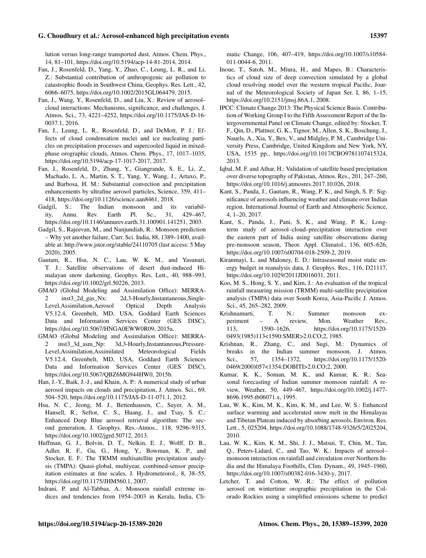lution versus long-range transported dust, Atmos. Chem. Phys., 14, 81–101, https://doi.org/10.5194/acp-14-81-2014, 2014.

- Fan, J., Rosenfeld, D., Yang, Y., Zhao, C., Leung, L. R., and Li, Z.: Substantial contribution of anthropogenic air pollution to catastrophic floods in Southwest China, Geophys. Res. Lett., 42, 6066–6075, https://doi.org/10.1002/2015GL064479, 2015.
- Fan, J., Wang, Y., Rosenfeld, D., and Liu, X.: Review of aerosol– cloud interactions: Mechanisms, significance, and challenges, J. Atmos. Sci., 73, 4221–4252, https://doi.org/10.1175/JAS-D-16- 0037.1, 2016.
- Fan, J., Leung, L. R., Rosenfeld, D., and DeMott, P. J.: Effects of cloud condensation nuclei and ice nucleating particles on precipitation processes and supercooled liquid in mixedphase orographic clouds, Atmos. Chem. Phys., 17, 1017–1035, https://doi.org/10.5194/acp-17-1017-2017, 2017.
- Fan, J., Rosenfeld, D., Zhang, Y., Giangrande, S. E., Li, Z., Machado, L. A., Martin, S. T., Yang, Y., Wang, J., Artaxo, P., and Barbosa, H. M.: Substantial convection and precipitation enhancements by ultrafine aerosol particles, Science, 359, 411– 418, https://doi.org/10.1126/science.aan8461, 2018.
- Gadgil, S.: The Indian monsoon and its variability, Annu. Rev. Earth Pl. Sc., 31, 429–467, https://doi.org/10.1146/annurev.earth.31.100901.141251, 2003.
- Gadgil, S., Rajeevan, M., and Nanjundiah, R.: Monsoon prediction – Why yet another failure, Curr. Sci. India, 88, 1389–1400, available at: http://www.jstor.org/stable/24110705 (last access: 5 May 2020), 2005.
- Gautam, R., Hsu, N. C., Lau, W. K. M., and Yasunari, T. J.: Satellite observations of desert dust-induced Himalayan snow darkening, Geophys. Res. Lett., 40, 988–993, https://doi.org/10.1002/grl.50226, 2013.
- GMAO (Global Modeling and Assimilation Office): MERRA-2 inst3\_2d\_gas\_Nx: 2d,3-Hourly,Instantaneous,Single-Level,Assimilation,Aerosol Optical Depth Analysis V5.12.4, Greenbelt, MD, USA, Goddard Earth Sciences Data and Information Services Center (GES DISC), https://doi.org/10.5067/HNGA0EWW0R09, 2015a.
- GMAO (Global Modeling and Assimilation Office): MERRA-2 inst3\_3d\_asm\_Np: 3d,3-Hourly,Instantaneous,Pressure-Level,Assimilation,Assimilated Meteorological Fields V5.12.4, Greenbelt, MD, USA, Goddard Earth Sciences Data and Information Services Center (GES DISC), https://doi.org/10.5067/QBZ6MG944HW0, 2015b.
- Han, J.-Y., Baik, J.-J., and Khain, A. P.: A numerical study of urban aerosol impacts on clouds and precipitation, J. Atmos. Sci., 69, 504–520, https://doi.org/10.1175/JAS-D-11-071.1, 2012.
- Hsu, N. C., Jeong, M. J., Bettenhausen, C., Sayer, A. M., Hansell, R., Seftor, C. S., Huang, J., and Tsay, S. C.: Enhanced Deep Blue aerosol retrieval algorithm: The second generation, J. Geophys. Res.-Atmos., 118, 9296–9315, https://doi.org/10.1002/jgrd.50712, 2013.
- Huffman, G. J., Bolvin, D. T., Nelkin, E. J., Wolff, D. B., Adler, R. F., Gu, G., Hong, Y., Bowman, K. P., and Stocker, E. F.: The TRMM multisatellite precipitation analysis (TMPA): Quasi-global, multiyear, combined-sensor precipitation estimates at fine scales, J. Hydrometeorol., 8, 38–55, https://doi.org/10.1175/JHM560.1, 2007.
- Indrani, P. and Al-Tabbaa, A.: Monsoon rainfall extreme indices and tendencies from 1954–2003 in Kerala, India, Cli-

matic Change, 106, 407–419, https://doi.org/10.1007/s10584- 011-0044-6, 2011.

- Inoue, T., Satoh, M., Miura, H., and Mapes, B.: Characteristics of cloud size of deep convection simulated by a global cloud resolving model over the western tropical Pacific, Journal of the Meteorological Society of Japan Ser. I, 86, 1–15, https://doi.org/10.2151/jmsj.86A.1, 2008.
- IPCC: Climate Change 2013: The Physical Science Basis. Contribution of Working Group I to the Fifth Assessment Report of the Intergovernmental Panel on Climate Change, edited by: Stocker, T. F., Qin, D., Plattner, G. K., Tignor, M., Allen, S. K., Boschung, J., Nauels, A., Xia, Y., Bex, V., and Midgley, P. M., Cambridge University Press, Cambridge, United Kingdom and New York, NY, USA, 1535 pp., https://doi.org/10.1017/CBO9781107415324, 2013.
- Iqbal, M. F. and Athar, H.: Validation of satellite based precipitation over diverse topography of Pakistan, Atmos. Res., 201, 247–260, https://doi.org/10.1016/j.atmosres.2017.10.026, 2018.
- Kant, S., Panda, J., Gautam, R., Wang, P. K., and Singh, S. P.: Significance of aerosols influencing weather and climate over Indian region, International Journal of Earth and Atmospheric Science, 4, 1–20, 2017.
- Kant, S., Panda, J., Pani, S. K., and Wang, P. K.: Longterm study of aerosol–cloud–precipitation interaction over the eastern part of India using satellite observations during pre-monsoon season, Theor. Appl. Climatol., 136, 605–626, https://doi.org/10.1007/s00704-018-2509-2, 2019.
- Kiranmayi, L. and Maloney, E. D.: Intraseasonal moist static energy budget in reanalysis data, J. Geophys. Res., 116, D21117, https://doi.org/10.1029/2011JD016031, 2011.
- Koo, M. S., Hong, S. Y., and Kim, J.: An evaluation of the tropical rainfall measuring mission (TRMM) multi-satellite precipitation analysis (TMPA) data over South Korea, Asia-Pacific J. Atmos. Sci., 45, 265–282, 2009.
- Krishnamurti, T. N.: Summer monsoon experiment – A review, Mon. Weather Rev., 113, 1590–1626, https://doi.org/10.1175/1520- 0493(1985)113<1590:SMER>2.0.CO;2, 1985.
- Krishnan, R., Zhang, C., and Sugi, M.: Dynamics of breaks in the Indian summer monsoon, J. Atmos. Sci., 57, 1354–1372, https://doi.org/10.1175/1520- 0469(2000)057<1354:DOBITI>2.0.CO;2, 2000.
- Kumar, K. K., Soman, M. K., and Kumar, K. R.: Seasonal forecasting of Indian summer monsoon rainfall: A review, Weather, 50, 449–467, https://doi.org/10.1002/j.1477- 8696.1995.tb06071.x, 1995.
- Lau, W. K., Kim, M. K., Kim, K. M., and Lee, W. S.: Enhanced surface warming and accelerated snow melt in the Himalayas and Tibetan Plateau induced by absorbing aerosols, Environ. Res. Lett., 5, 025204, https://doi.org/10.1088/1748-9326/5/2/025204, 2010.
- Lau, W. K., Kim, K. M., Shi, J. J., Matsui, T., Chin, M., Tan, Q., Peters-Lidard, C., and Tao, W. K.: Impacts of aerosol– monsoon interaction on rainfall and circulation over Northern India and the Himalaya Foothills, Clim. Dynam., 49, 1945–1960, https://doi.org/10.1007/s00382-016-3430-y, 2017.
- Letcher, T. and Cotton, W. R.: The effect of pollution aerosol on wintertime orographic precipitation in the Colorado Rockies using a simplified emissions scheme to predict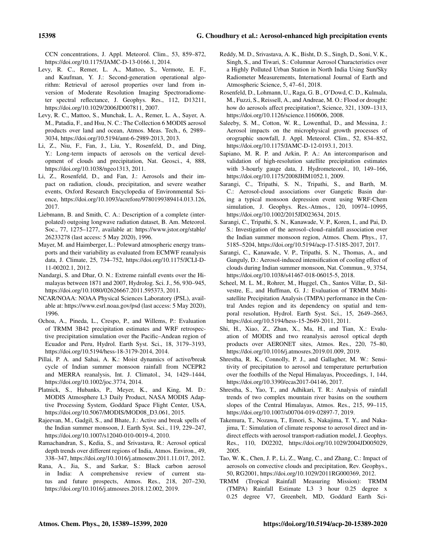CCN concentrations, J. Appl. Meteorol. Clim., 53, 859–872, https://doi.org/10.1175/JAMC-D-13-0166.1, 2014.

- Levy, R. C., Remer, L. A., Mattoo, S., Vermote, E. F., and Kaufman, Y. J.: Second-generation operational algorithm: Retrieval of aerosol properties over land from inversion of Moderate Resolution Imaging Spectroradiometer spectral reflectance, J. Geophys. Res., 112, D13211, https://doi.org/10.1029/2006JD007811, 2007.
- Levy, R. C., Mattoo, S., Munchak, L. A., Remer, L. A., Sayer, A. M., Patadia, F., and Hsu, N. C.: The Collection 6 MODIS aerosol products over land and ocean, Atmos. Meas. Tech., 6, 2989– 3034, https://doi.org/10.5194/amt-6-2989-2013, 2013.
- Li, Z., Niu, F., Fan, J., Liu, Y., Rosenfeld, D., and Ding, Y.: Long-term impacts of aerosols on the vertical development of clouds and precipitation, Nat. Geosci., 4, 888, https://doi.org/10.1038/ngeo1313, 2011.
- Li, Z., Rosenfeld, D., and Fan, J.: Aerosols and their impact on radiation, clouds, precipitation, and severe weather events, Oxford Research Encyclopedia of Environmental Science, https://doi.org/10.1093/acrefore/9780199389414.013.126, 2017.
- Liebmann, B. and Smith, C. A.: Description of a complete (interpolated) outgoing longwave radiation dataset, B. Am. Meteorol. Soc., 77, 1275–1277, available at: https://www.jstor.org/stable/ 26233278 (last access: 5 May 2020), 1996.
- Mayer, M. and Haimberger, L.: Poleward atmospheric energy transports and their variability as evaluated from ECMWF reanalysis data, J. Climate, 25, 734–752, https://doi.org/10.1175/JCLI-D-11-00202.1, 2012.
- Nandargi, S. and Dhar, O. N.: Extreme rainfall events over the Himalayas between 1871 and 2007, Hydrolog. Sci. J., 56, 930–945, https://doi.org/10.1080/02626667.2011.595373, 2011.
- NCAR/NOAA: NOAA Physical Sciences Laboratory (PSL), available at: https://www.esrl.noaa.gov/psd (last access: 5 May 2020), 1996.
- Ochoa, A., Pineda, L., Crespo, P., and Willems, P.: Evaluation of TRMM 3B42 precipitation estimates and WRF retrospective precipitation simulation over the Pacific–Andean region of Ecuador and Peru, Hydrol. Earth Syst. Sci., 18, 3179–3193, https://doi.org/10.5194/hess-18-3179-2014, 2014.
- Pillai, P. A. and Sahai, A. K.: Moist dynamics of active/break cycle of Indian summer monsoon rainfall from NCEPR2 and MERRA reanalysis, Int. J. Climatol., 34, 1429–1444, https://doi.org/10.1002/joc.3774, 2014.
- Platnick, S., Hubanks, P., Meyer, K., and King, M. D.: MODIS Atmosphere L3 Daily Product, NASA MODIS Adaptive Processing System, Goddard Space Flight Center, USA, https://doi.org/10.5067/MODIS/MOD08\_D3.061, 2015.
- Rajeevan, M., Gadgil, S., and Bhate, J.: Active and break spells of the Indian summer monsoon, J. Earth Syst. Sci., 119, 229–247, https://doi.org/10.1007/s12040-010-0019-4, 2010.
- Ramachandran, S., Kedia, S., and Srivastava, R.: Aerosol optical depth trends over different regions of India, Atmos. Environ., 49, 338–347, https://doi.org/10.1016/j.atmosenv.2011.11.017, 2012.
- Rana, A., Jia, S., and Sarkar, S.: Black carbon aerosol in India: A comprehensive review of current status and future prospects, Atmos. Res., 218, 207–230, https://doi.org/10.1016/j.atmosres.2018.12.002, 2019.
- Reddy, M. D., Srivastava, A. K., Bisht, D. S., Singh, D., Soni, V. K., Singh, S., and Tiwari, S.: Columnar Aerosol Characteristics over a Highly Polluted Urban Station in North India Using Sun/Sky Radiometer Measurements, International Journal of Earth and Atmospheric Science, 5, 47–61, 2018.
- Rosenfeld, D., Lohmann, U., Raga, G. B., O'Dowd, C. D., Kulmala, M., Fuzzi, S., Reissell, A., and Andreae, M. O.: Flood or drought: how do aerosols affect precipitation?, Science, 321, 1309–1313, https://doi.org/10.1126/science.1160606, 2008.
- Saleeby, S. M., Cotton, W. R., Lowenthal, D., and Messina, J.: Aerosol impacts on the microphysical growth processes of orographic snowfall, J. Appl. Meteorol. Clim., 52, 834–852, https://doi.org/10.1175/JAMC-D-12-0193.1, 2013.
- Sapiano, M. R. P. and Arkin, P. A.: An intercomparison and validation of high-resolution satellite precipitation estimates with 3-hourly gauge data, J. Hydrometeorol., 10, 149–166, https://doi.org/10.1175/2008JHM1052.1, 2009.
- Sarangi, C., Tripathi, S. N., Tripathi, S., and Barth, M. C.: Aerosol-cloud associations over Gangetic Basin during a typical monsoon depression event using WRF-Chem simulation, J. Geophys. Res.-Atmos., 120, 10974–10995, https://doi.org/10.1002/2015JD023634, 2015.
- Sarangi, C., Tripathi, S. N., Kanawade, V. P., Koren, I., and Pai, D. S.: Investigation of the aerosol–cloud–rainfall association over the Indian summer monsoon region, Atmos. Chem. Phys., 17, 5185–5204, https://doi.org/10.5194/acp-17-5185-2017, 2017.
- Sarangi, C., Kanawade, V. P., Tripathi, S. N., Thomas, A., and Ganguly, D.: Aerosol-induced intensification of cooling effect of clouds during Indian summer monsoon, Nat. Commun., 9, 3754, https://doi.org/10.1038/s41467-018-06015-5, 2018.
- Scheel, M. L. M., Rohrer, M., Huggel, Ch., Santos Villar, D., Silvestre, E., and Huffman, G. J.: Evaluation of TRMM Multisatellite Precipitation Analysis (TMPA) performance in the Central Andes region and its dependency on spatial and temporal resolution, Hydrol. Earth Syst. Sci., 15, 2649–2663, https://doi.org/10.5194/hess-15-2649-2011, 2011.
- Shi, H., Xiao, Z., Zhan, X., Ma, H., and Tian, X.: Evaluation of MODIS and two reanalysis aerosol optical depth products over AERONET sites, Atmos. Res., 220, 75–80, https://doi.org/10.1016/j.atmosres.2019.01.009, 2019.
- Shrestha, R. K., Connolly, P. J., and Gallagher, M. W.: Sensitivity of precipitation to aerosol and temperature perturbation over the foothills of the Nepal Himalayas, Proceedings, 1, 144, https://doi.org/10.3390/ecas2017-04146, 2017.
- Shrestha, S., Yao, T., and Adhikari, T. R.: Analysis of rainfall trends of two complex mountain river basins on the southern slopes of the Central Himalayas, Atmos. Res., 215, 99–115, https://doi.org/10.1007/s00704-019-02897-7, 2019.
- Takemura, T., Nozawa, T., Emori, S., Nakajima, T. Y., and Nakajima, T.: Simulation of climate response to aerosol direct and indirect effects with aerosol transport-radiation model, J. Geophys. Res., 110, D02202, https://doi.org/10.1029/2004JD005029, 2005.
- Tao, W. K., Chen, J. P., Li, Z., Wang, C., and Zhang, C.: Impact of aerosols on convective clouds and precipitation, Rev. Geophys., 50, RG2001, https://doi.org/10.1029/2011RG000369, 2012.
- TRMM (Tropical Rainfall Measuring Mission): TRMM (TMPA) Rainfall Estimate L3 3 hour 0.25 degree x 0.25 degree V7, Greenbelt, MD, Goddard Earth Sci-